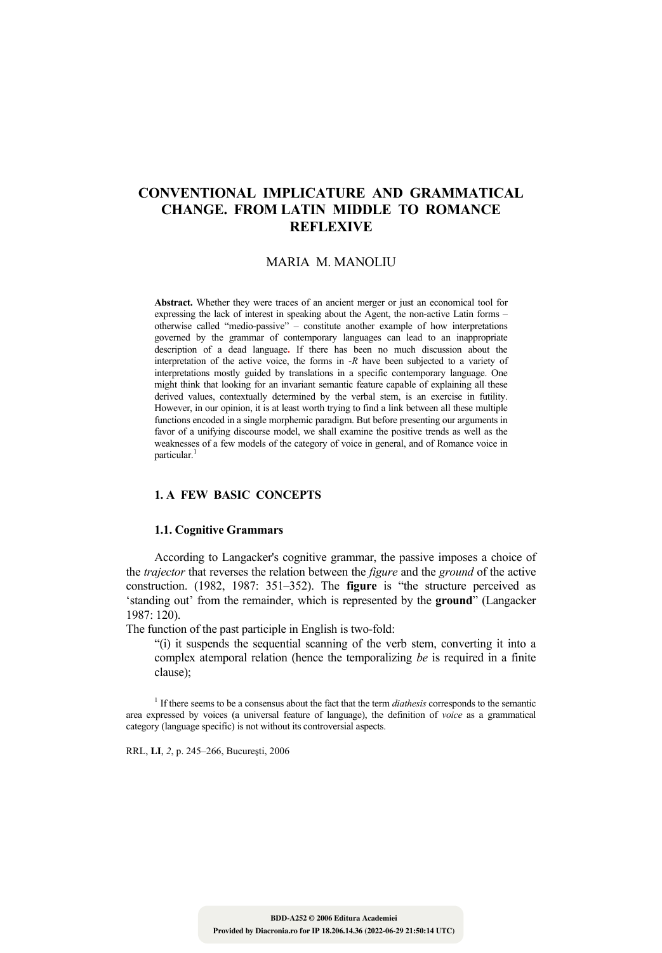# **CONVENTIONAL IMPLICATURE AND GRAMMATICAL CHANGE. FROM LATIN MIDDLE TO ROMANCE REFLEXIVE**

### MARIA M. MANOLIU

**Abstract.** Whether they were traces of an ancient merger or just an economical tool for expressing the lack of interest in speaking about the Agent, the non-active Latin forms – otherwise called "medio-passive" – constitute another example of how interpretations governed by the grammar of contemporary languages can lead to an inappropriate description of a dead language**.** If there has been no much discussion about the interpretation of the active voice, the forms in -*R* have been subjected to a variety of interpretations mostly guided by translations in a specific contemporary language. One might think that looking for an invariant semantic feature capable of explaining all these derived values, contextually determined by the verbal stem, is an exercise in futility. However, in our opinion, it is at least worth trying to find a link between all these multiple functions encoded in a single morphemic paradigm. But before presenting our arguments in favor of a unifying discourse model, we shall examine the positive trends as well as the weaknesses of a few models of the category of voice in general, and of Romance voice in particular.<sup>1</sup>

#### **1. A FEW BASIC CONCEPTS**

#### **1.1. Cognitive Grammars**

 According to Langacker's cognitive grammar, the passive imposes a choice of the *trajector* that reverses the relation between the *figure* and the *ground* of the active construction. (1982, 1987: 351–352). The **figure** is "the structure perceived as 'standing out' from the remainder, which is represented by the **ground**" (Langacker 1987: 120).

The function of the past participle in English is two-fold:

 "(i) it suspends the sequential scanning of the verb stem, converting it into a complex atemporal relation (hence the temporalizing *be* is required in a finite clause);

1 If there seems to be a consensus about the fact that the term *diathesis* corresponds to the semantic area expressed by voices (a universal feature of language), the definition of *voice* as a grammatical category (language specific) is not without its controversial aspects.

RRL, **LI**, *2*, p. 245–266, Bucureşti, 2006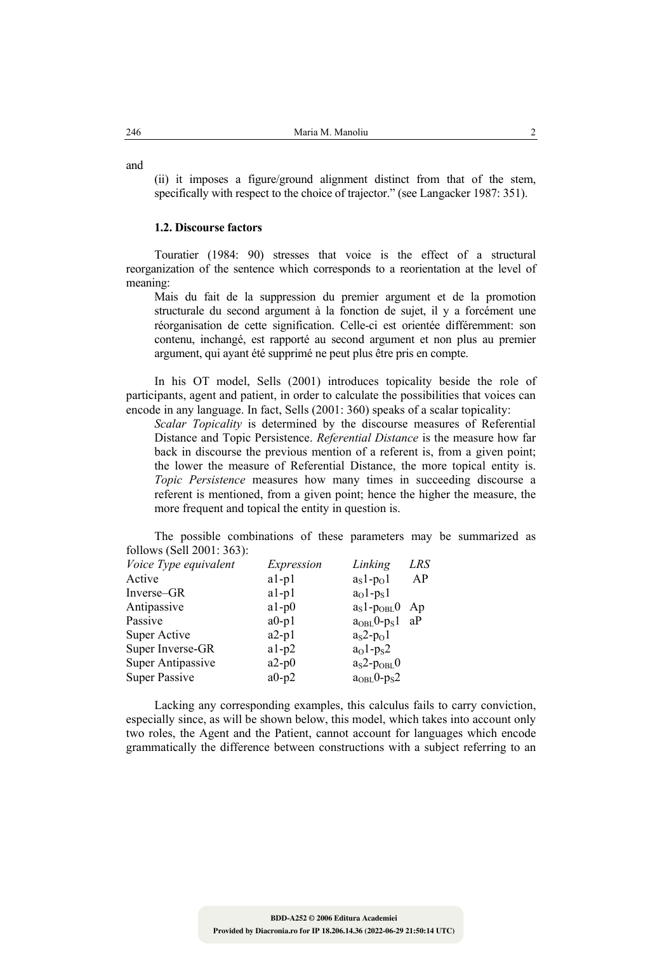and

 (ii) it imposes a figure/ground alignment distinct from that of the stem, specifically with respect to the choice of trajector." (see Langacker 1987: 351).

#### **1.2. Discourse factors**

 Touratier (1984: 90) stresses that voice is the effect of a structural reorganization of the sentence which corresponds to a reorientation at the level of meaning:

Mais du fait de la suppression du premier argument et de la promotion structurale du second argument à la fonction de sujet, il y a forcément une réorganisation de cette signification. Celle-ci est orientée différemment: son contenu, inchangé, est rapporté au second argument et non plus au premier argument, qui ayant été supprimé ne peut plus être pris en compte.

 In his OT model, Sells (2001) introduces topicality beside the role of participants, agent and patient, in order to calculate the possibilities that voices can encode in any language. In fact, Sells (2001: 360) speaks of a scalar topicality:

*Scalar Topicality* is determined by the discourse measures of Referential Distance and Topic Persistence. *Referential Distance* is the measure how far back in discourse the previous mention of a referent is, from a given point; the lower the measure of Referential Distance, the more topical entity is. *Topic Persistence* measures how many times in succeeding discourse a referent is mentioned, from a given point; hence the higher the measure, the more frequent and topical the entity in question is.

 The possible combinations of these parameters may be summarized as follows (Sell 2001: 363):

| Expression | Linking     | LRS |
|------------|-------------|-----|
| $a1-p1$    | $aS1-pO1$   | AP  |
| $a1-p1$    | $a01-pS1$   |     |
| $a1-p0$    | $aS1-pOBL0$ | Ap  |
| $a0-p1$    | $aOBL0-pS1$ | aP  |
| $a2-p1$    | $as2-po1$   |     |
| $a1-p2$    | $a01-ps2$   |     |
| $a2-p0$    | $aS2-pOBL0$ |     |
| $a0-p2$    | $aOBL0-pS2$ |     |
|            |             |     |

 Lacking any corresponding examples, this calculus fails to carry conviction, especially since, as will be shown below, this model, which takes into account only two roles, the Agent and the Patient, cannot account for languages which encode grammatically the difference between constructions with a subject referring to an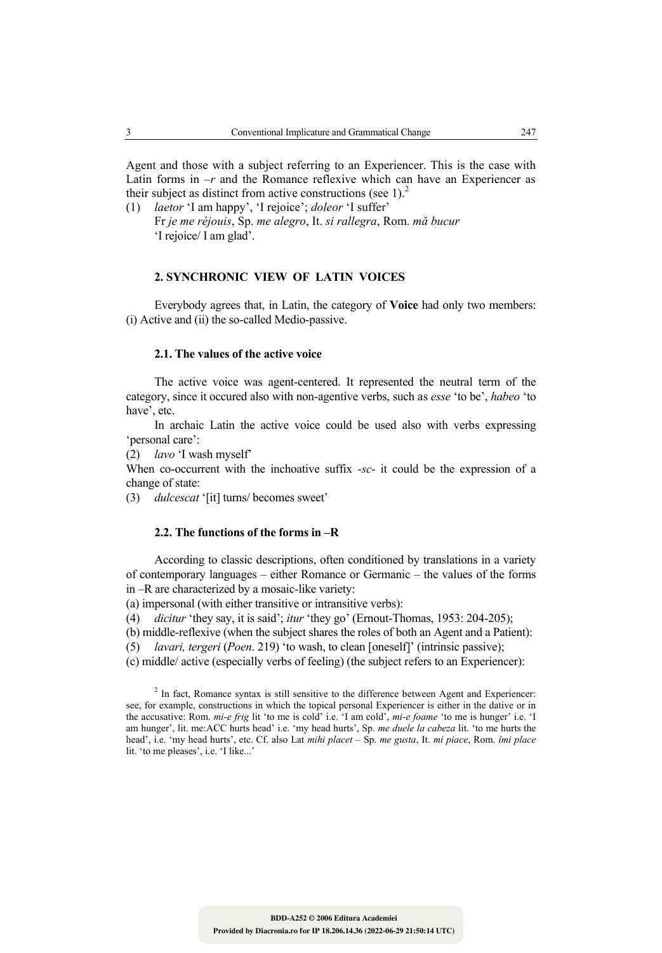Agent and those with a subject referring to an Experiencer. This is the case with Latin forms in  $-r$  and the Romance reflexive which can have an Experiencer as their subject as distinct from active constructions (see 1). $<sup>2</sup>$ </sup>

(1) *laetor* 'I am happy', 'I rejoice'; *doleor* 'I suffer' Fr *je me réjouis*, Sp. *me alegro*, It. *si rallegra*, Rom. *mă bucur* 'I rejoice/ I am glad'.

## **2. SYNCHRONIC VIEW OF LATIN VOICES**

 Everybody agrees that, in Latin, the category of **Voice** had only two members: (i) Active and (ii) the so-called Medio-passive.

### **2.1. The values of the active voice**

 The active voice was agent-centered. It represented the neutral term of the category, since it occured also with non-agentive verbs, such as *esse* 'to be', *habeo* 'to have', etc.

 In archaic Latin the active voice could be used also with verbs expressing 'personal care':

(2) *lavo* 'I wash myself'

When co-occurrent with the inchoative suffix *-sc-* it could be the expression of a change of state:

(3) *dulcescat* '[it] turns/ becomes sweet'

### **2.2. The functions of the forms in –R**

 According to classic descriptions, often conditioned by translations in a variety of contemporary languages – either Romance or Germanic – the values of the forms in –R are characterized by a mosaic-like variety:

(a) impersonal (with either transitive or intransitive verbs):

(4) *dicitur* 'they say, it is said'; *itur* 'they go' (Ernout-Thomas, 1953: 204-205);

(b) middle-reflexive (when the subject shares the roles of both an Agent and a Patient):

(5) *lavari, tergeri* (*Poen*. 219) 'to wash, to clean [oneself]' (intrinsic passive);

(c) middle/ active (especially verbs of feeling) (the subject refers to an Experiencer):

 $2$  In fact, Romance syntax is still sensitive to the difference between Agent and Experiencer: see, for example, constructions in which the topical personal Experiencer is either in the dative or in the accusative: Rom. *mi-e frig* lit 'to me is cold' i.e. 'I am cold', *mi-e foame* 'to me is hunger' i.e. 'I am hunger', lit. me:ACC hurts head' i.e. 'my head hurts', Sp. *me duele la cabeza* lit. 'to me hurts the head', i.e. 'my head hurts', etc. Cf. also Lat *mihi placet* – Sp. *me gusta*, It. *mi piace*, Rom. *îmi place*  lit. 'to me pleases', i.e. 'I like...'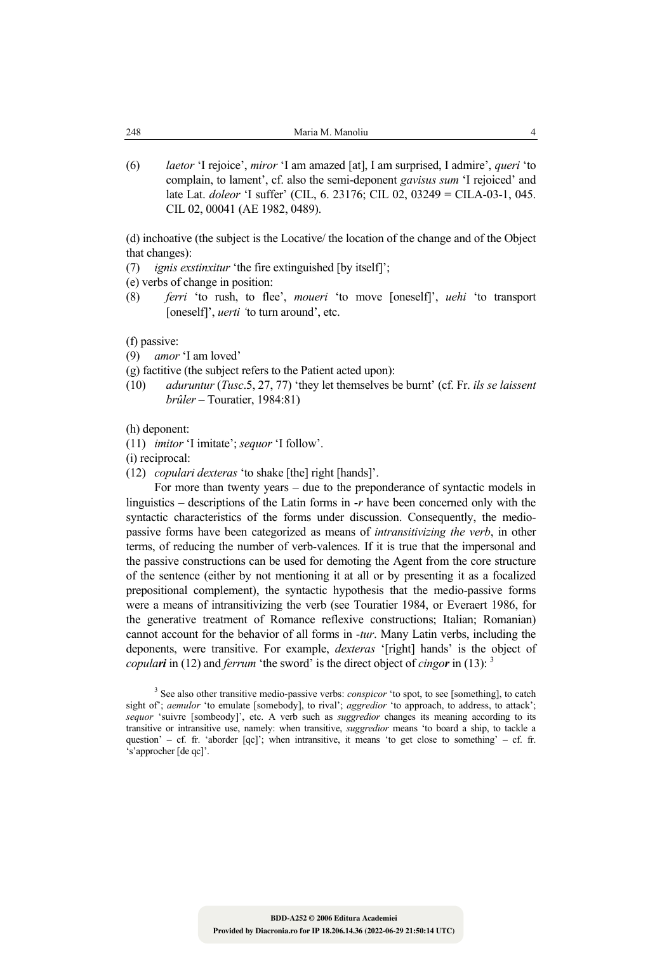(6) *laetor* 'I rejoice', *miror* 'I am amazed [at], I am surprised, I admire', *queri* 'to complain, to lament', cf. also the semi-deponent *gavisus sum* 'I rejoiced' and late Lat. *doleor* 'I suffer' (CIL, 6. 23176; CIL 02, 03249 = CILA-03-1, 045. CIL 02, 00041 (AE 1982, 0489).

(d) inchoative (the subject is the Locative/ the location of the change and of the Object that changes):

(7) *ignis exstinxitur* 'the fire extinguished [by itself]';

(e) verbs of change in position:

(8) *ferri* 'to rush, to flee', *moueri* 'to move [oneself]', *uehi* 'to transport [oneself]', *uerti '*to turn around', etc.

(f) passive:

- (9) *amor* 'I am loved'
- (g) factitive (the subject refers to the Patient acted upon):
- (10) *aduruntur* (*Tusc*.5, 27, 77) 'they let themselves be burnt' (cf. Fr. *ils se laissent brûler* – Touratier, 1984:81)

(h) deponent:

(11) *imitor* 'I imitate'; *sequor* 'I follow'.

(i) reciprocal:

(12) *copulari dexteras* 'to shake [the] right [hands]'.

 For more than twenty years – due to the preponderance of syntactic models in linguistics – descriptions of the Latin forms in -*r* have been concerned only with the syntactic characteristics of the forms under discussion. Consequently, the mediopassive forms have been categorized as means of *intransitivizing the verb*, in other terms, of reducing the number of verb-valences. If it is true that the impersonal and the passive constructions can be used for demoting the Agent from the core structure of the sentence (either by not mentioning it at all or by presenting it as a focalized prepositional complement), the syntactic hypothesis that the medio-passive forms were a means of intransitivizing the verb (see Touratier 1984, or Everaert 1986, for the generative treatment of Romance reflexive constructions; Italian; Romanian) cannot account for the behavior of all forms in -*tur*. Many Latin verbs, including the deponents, were transitive. For example, *dexteras* '[right] hands' is the object of *copulari* in (12) and *ferrum* 'the sword' is the direct object of *cingor* in (13): 3

<sup>&</sup>lt;sup>3</sup> See also other transitive medio-passive verbs: *conspicor* 'to spot, to see [something], to catch sight of'; *aemulor* 'to emulate [somebody], to rival'; *aggredior* 'to approach, to address, to attack'; *sequor* 'suivre [sombeody]', etc. A verb such as *suggredior* changes its meaning according to its transitive or intransitive use, namely: when transitive, *suggredior* means 'to board a ship, to tackle a question' – cf. fr. 'aborder  $[qq']$ '; when intransitive, it means 'to get close to something' – cf. fr. 's'approcher [de qc]'.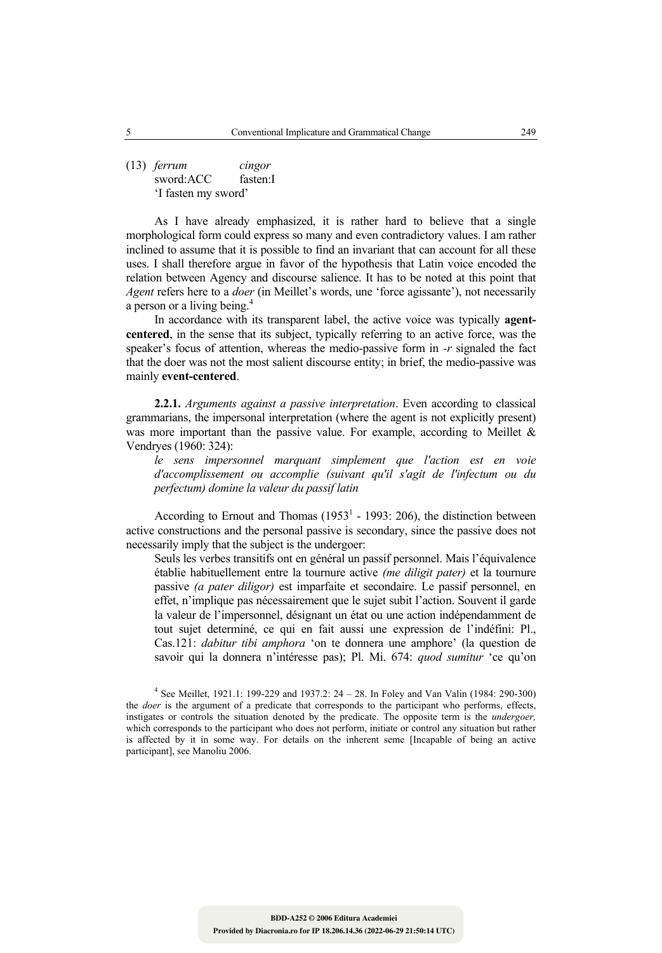(13) *ferrum cingor* sword:ACC fasten:I 'I fasten my sword'

 As I have already emphasized, it is rather hard to believe that a single morphological form could express so many and even contradictory values. I am rather inclined to assume that it is possible to find an invariant that can account for all these uses. I shall therefore argue in favor of the hypothesis that Latin voice encoded the relation between Agency and discourse salience. It has to be noted at this point that *Agent* refers here to a *doer* (in Meillet's words, une 'force agissante'), not necessarily a person or a living being.<sup>4</sup>

 In accordance with its transparent label, the active voice was typically **agentcentered**, in the sense that its subject, typically referring to an active force, was the speaker's focus of attention, whereas the medio-passive form in *-r* signaled the fact that the doer was not the most salient discourse entity; in brief, the medio-passive was mainly **event-centered**.

**2.2.1.** *Arguments against a passive interpretation*. Even according to classical grammarians, the impersonal interpretation (where the agent is not explicitly present) was more important than the passive value. For example, according to Meillet  $\&$ Vendryes (1960: 324):

 *le sens impersonnel marquant simplement que l'action est en voie d'accomplissement ou accomplie (suivant qu'il s'agit de l'infectum ou du perfectum) domine la valeur du passif latin* 

According to Ernout and Thomas  $(1953<sup>1</sup> - 1993: 206)$ , the distinction between active constructions and the personal passive is secondary, since the passive does not necessarily imply that the subject is the undergoer:

 Seuls les verbes transitifs ont en général un passif personnel. Mais l'équivalence établie habituellement entre la tournure active *(me diligit pater)* et la tournure passive *(a pater diligor)* est imparfaite et secondaire. Le passif personnel, en effet, n'implique pas nécessairement que le sujet subit l'action. Souvent il garde la valeur de l'impersonnel, désignant un état ou une action indépendamment de tout sujet determiné, ce qui en fait aussi une expression de l'indéfini: Pl., Cas.121: *dabitur tibi amphora* 'on te donnera une amphore' (la question de savoir qui la donnera n'intéresse pas); Pl. Mi. 674: *quod sumitur* 'ce qu'on

4 See Meillet, 1921.1: 199-229 and 1937.2: 24 – 28. In Foley and Van Valin (1984: 290-300) the *doer* is the argument of a predicate that corresponds to the participant who performs, effects, instigates or controls the situation denoted by the predicate. The opposite term is the *undergoer,*  which corresponds to the participant who does not perform, initiate or control any situation but rather is affected by it in some way. For details on the inherent seme [Incapable of being an active participant], see Manoliu 2006.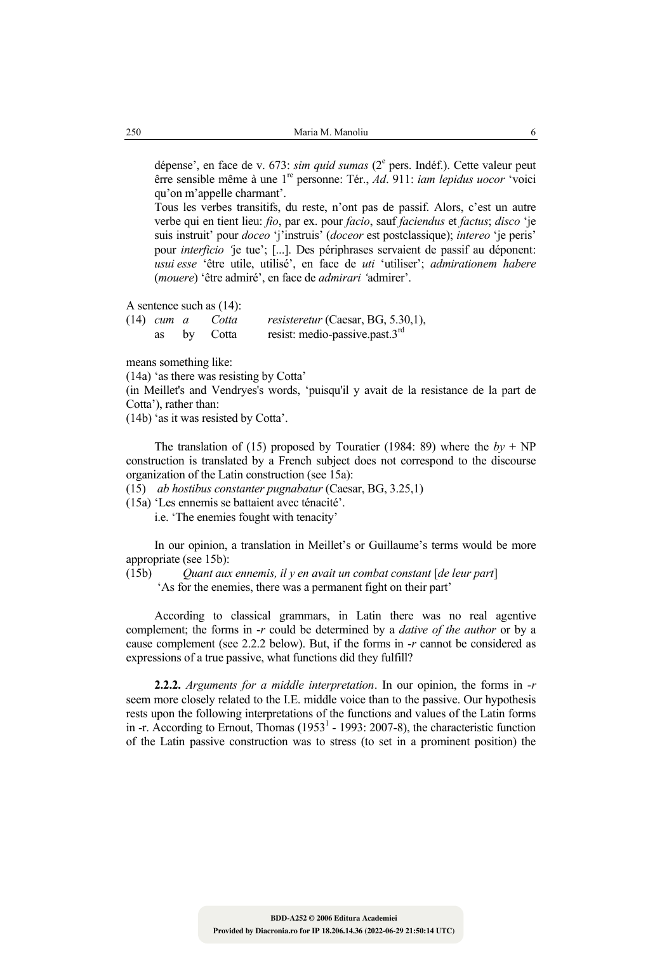dépense', en face de v. 673: *sim quid sumas* (2<sup>e</sup> pers. Indéf.). Cette valeur peut êrre sensible même à une 1re personne: Tér., *Ad*. 911: *iam lepidus uocor* 'voici qu'on m'appelle charmant'.

 Tous les verbes transitifs, du reste, n'ont pas de passif. Alors, c'est un autre verbe qui en tient lieu: *fio*, par ex. pour *facio*, sauf *faciendus* et *factus*; *disco* 'je suis instruit' pour *doceo* 'j'instruis' (*doceor* est postclassique); *intereo* 'je peris' pour *interficio '*je tue'; [...]. Des périphrases servaient de passif au déponent: *usui esse* 'être utile, utilisé', en face de *uti* 'utiliser'; *admirationem habere* (*mouere*) 'être admiré', en face de *admirari '*admirer'.

A sentence such as (14):

| $(14)$ cum a |    | Cotta | <i>resisteretur</i> (Caesar, BG, 5.30,1),   |
|--------------|----|-------|---------------------------------------------|
|              | by | Cotta | resist: medio-passive.past.3 $^{\text{ra}}$ |

means something like:

(14a) 'as there was resisting by Cotta'

(in Meillet's and Vendryes's words, 'puisqu'il y avait de la resistance de la part de Cotta'), rather than:

(14b) 'as it was resisted by Cotta'.

The translation of (15) proposed by Touratier (1984: 89) where the  $by + NP$ construction is translated by a French subject does not correspond to the discourse organization of the Latin construction (see 15a):

(15) *ab hostibus constanter pugnabatur* (Caesar, BG, 3.25,1)

(15a) 'Les ennemis se battaient avec ténacité'.

i.e. 'The enemies fought with tenacity'

 In our opinion, a translation in Meillet's or Guillaume's terms would be more appropriate (see 15b):

(15b) *Quant aux ennemis, il y en avait un combat constant* [*de leur part*]

'As for the enemies, there was a permanent fight on their part'

 According to classical grammars, in Latin there was no real agentive complement; the forms in -*r* could be determined by a *dative of the author* or by a cause complement (see 2.2.2 below). But, if the forms in -*r* cannot be considered as expressions of a true passive, what functions did they fulfill?

**2.2.2.** *Arguments for a middle interpretation*. In our opinion, the forms in -*r* seem more closely related to the I.E. middle voice than to the passive. Our hypothesis rests upon the following interpretations of the functions and values of the Latin forms in -r. According to Ernout, Thomas  $(1953<sup>1</sup> - 1993: 2007-8)$ , the characteristic function of the Latin passive construction was to stress (to set in a prominent position) the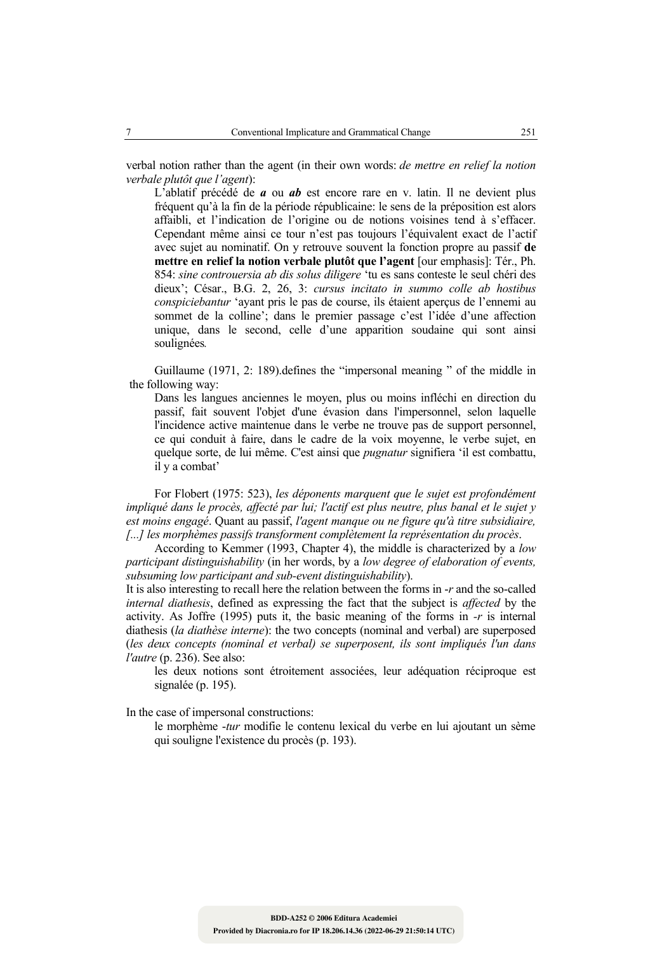verbal notion rather than the agent (in their own words: *de mettre en relief la notion verbale plutôt que l'agent*):

L'ablatif précédé de *a* ou *ab* est encore rare en v. latin. Il ne devient plus fréquent qu'à la fin de la période républicaine: le sens de la préposition est alors affaibli, et l'indication de l'origine ou de notions voisines tend à s'effacer. Cependant même ainsi ce tour n'est pas toujours l'équivalent exact de l'actif avec sujet au nominatif. On y retrouve souvent la fonction propre au passif **de mettre en relief la notion verbale plutôt que l'agent** [our emphasis]: Tér., Ph. 854: *sine controuersia ab dis solus diligere* 'tu es sans conteste le seul chéri des dieux'; César., B.G. 2, 26, 3: *cursus incitato in summo colle ab hostibus conspiciebantur* 'ayant pris le pas de course, ils étaient aperçus de l'ennemi au sommet de la colline'; dans le premier passage c'est l'idée d'une affection unique, dans le second, celle d'une apparition soudaine qui sont ainsi soulignées*.* 

 Guillaume (1971, 2: 189).defines the "impersonal meaning " of the middle in the following way:

Dans les langues anciennes le moyen, plus ou moins infléchi en direction du passif, fait souvent l'objet d'une évasion dans l'impersonnel, selon laquelle l'incidence active maintenue dans le verbe ne trouve pas de support personnel, ce qui conduit à faire, dans le cadre de la voix moyenne, le verbe sujet, en quelque sorte, de lui même. C'est ainsi que *pugnatur* signifiera 'il est combattu, il y a combat'

 For Flobert (1975: 523), *les déponents marquent que le sujet est profondément impliqué dans le procès, affecté par lui; l'actif est plus neutre, plus banal et le sujet y est moins engagé*. Quant au passif, *l'agent manque ou ne figure qu'à titre subsidiaire, [...] les morphèmes passifs transforment complètement la représentation du procès*.

 According to Kemmer (1993, Chapter 4), the middle is characterized by a *low participant distinguishability* (in her words, by a *low degree of elaboration of events, subsuming low participant and sub-event distinguishability*).

It is also interesting to recall here the relation between the forms in -*r* and the so-called *internal diathesis*, defined as expressing the fact that the subject is *affected* by the activity. As Joffre (1995) puts it, the basic meaning of the forms in *-r* is internal diathesis (*la diathèse interne*): the two concepts (nominal and verbal) are superposed (*les deux concepts (nominal et verbal) se superposent, ils sont impliqués l'un dans l'autre* (p. 236). See also:

 les deux notions sont étroitement associées, leur adéquation réciproque est signalée (p. 195).

In the case of impersonal constructions:

 le morphème -*tur* modifie le contenu lexical du verbe en lui ajoutant un sème qui souligne l'existence du procès (p. 193).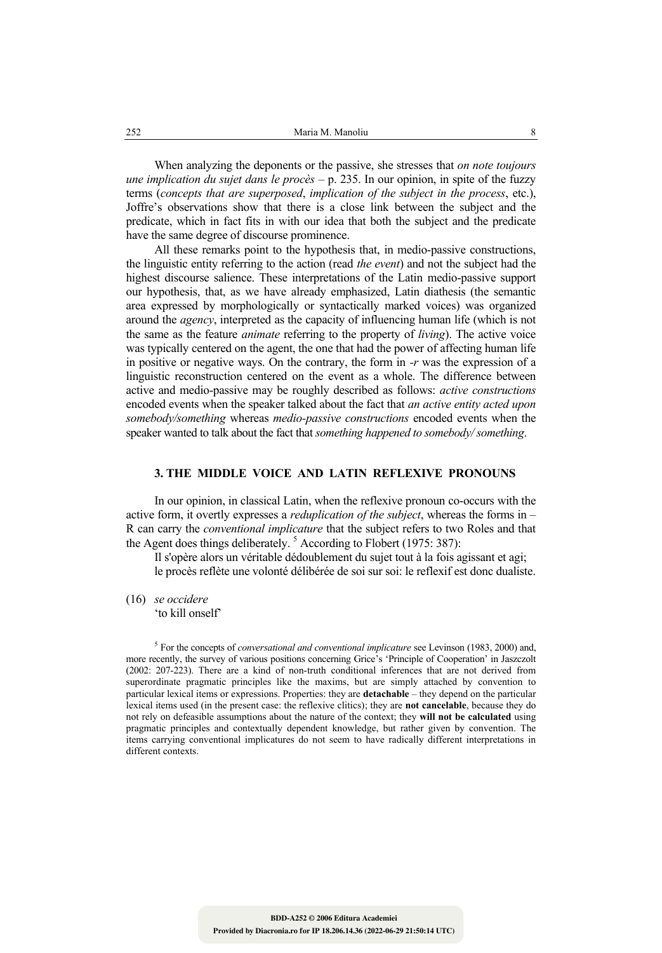When analyzing the deponents or the passive, she stresses that *on note toujours une implication du sujet dans le procès* – p. 235. In our opinion, in spite of the fuzzy terms (*concepts that are superposed*, *implication of the subject in the process*, etc.), Joffre's observations show that there is a close link between the subject and the predicate, which in fact fits in with our idea that both the subject and the predicate have the same degree of discourse prominence.

 All these remarks point to the hypothesis that, in medio-passive constructions, the linguistic entity referring to the action (read *the event*) and not the subject had the highest discourse salience. These interpretations of the Latin medio-passive support our hypothesis, that, as we have already emphasized, Latin diathesis (the semantic area expressed by morphologically or syntactically marked voices) was organized around the *agency*, interpreted as the capacity of influencing human life (which is not the same as the feature *animate* referring to the property of *living*). The active voice was typically centered on the agent, the one that had the power of affecting human life in positive or negative ways. On the contrary, the form in *-r* was the expression of a linguistic reconstruction centered on the event as a whole. The difference between active and medio-passive may be roughly described as follows: *active constructions* encoded events when the speaker talked about the fact that *an active entity acted upon somebody/something* whereas *medio-passive constructions* encoded events when the speaker wanted to talk about the fact that *something happened to somebody/ something*.

### **3. THE MIDDLE VOICE AND LATIN REFLEXIVE PRONOUNS**

 In our opinion, in classical Latin, when the reflexive pronoun co-occurs with the active form, it overtly expresses a *reduplication of the subject*, whereas the forms in – R can carry the *conventional implicature* that the subject refers to two Roles and that the Agent does things deliberately.<sup>5</sup> According to Flobert (1975: 387):

 Il s'opère alors un véritable dédoublement du sujet tout à la fois agissant et agi; le procès reflète une volonté délibérée de soi sur soi: le reflexif est donc dualiste.

(16) *se occidere*  'to kill onself'

<sup>5</sup> For the concepts of *conversational and conventional implicature* see Levinson (1983, 2000) and, more recently, the survey of various positions concerning Grice's 'Principle of Cooperation' in Jaszczolt (2002: 207-223). There are a kind of non-truth conditional inferences that are not derived from superordinate pragmatic principles like the maxims, but are simply attached by convention to particular lexical items or expressions. Properties: they are **detachable** – they depend on the particular lexical items used (in the present case: the reflexive clitics); they are **not cancelable**, because they do not rely on defeasible assumptions about the nature of the context; they **will not be calculated** using pragmatic principles and contextually dependent knowledge, but rather given by convention. The items carrying conventional implicatures do not seem to have radically different interpretations in different contexts.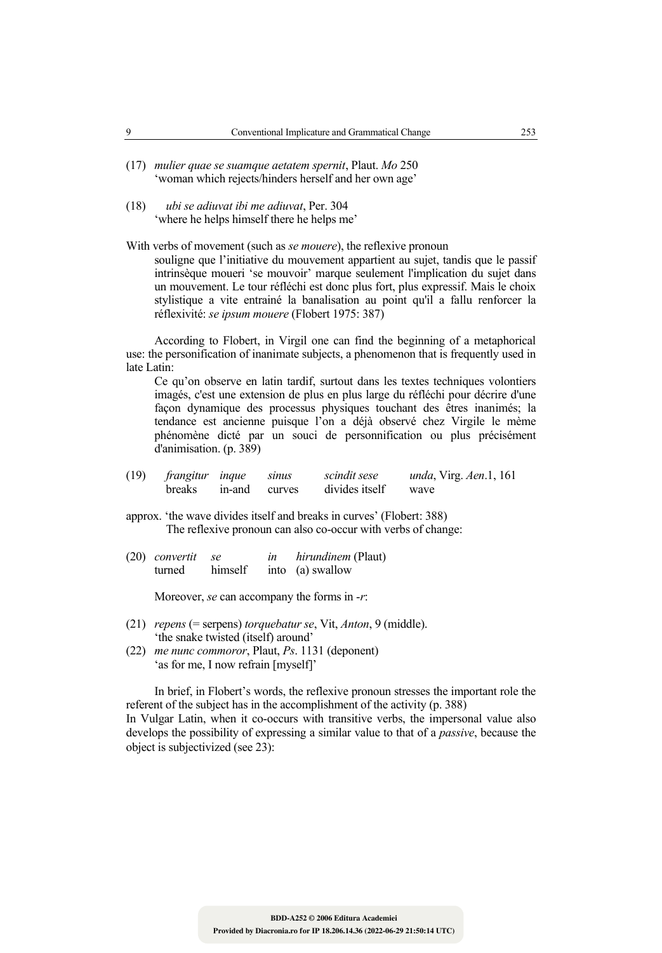- (17) *mulier quae se suamque aetatem spernit*, Plaut. *Mo* 250 'woman which rejects/hinders herself and her own age'
- (18) *ubi se adiuvat ibi me adiuvat*, Per. 304 'where he helps himself there he helps me'

With verbs of movement (such as *se mouere*), the reflexive pronoun souligne que l'initiative du mouvement appartient au sujet, tandis que le passif intrinsèque moueri 'se mouvoir' marque seulement l'implication du sujet dans un mouvement. Le tour réfléchi est donc plus fort, plus expressif. Mais le choix stylistique a vite entrainé la banalisation au point qu'il a fallu renforcer la réflexivité: *se ipsum mouere* (Flobert 1975: 387)

 According to Flobert, in Virgil one can find the beginning of a metaphorical use: the personification of inanimate subjects, a phenomenon that is frequently used in late Latin:

 Ce qu'on observe en latin tardif, surtout dans les textes techniques volontiers imagés, c'est une extension de plus en plus large du réfléchi pour décrire d'une façon dynamique des processus physiques touchant des êtres inanimés; la tendance est ancienne puisque l'on a déjà observé chez Virgile le mème phénomène dicté par un souci de personnification ou plus précisément d'animisation. (p. 389)

| $(19)$ frangitur inque | sinus | scindit sese   | <i>unda</i> , Virg. <i>Aen.</i> 1, 161 |
|------------------------|-------|----------------|----------------------------------------|
| breaks in-and curves   |       | divides itself | wave                                   |

approx. 'the wave divides itself and breaks in curves' (Flobert: 388) The reflexive pronoun can also co-occur with verbs of change:

| $(20)$ convertit se |         | in | <i>hirundinem</i> (Plaut) |
|---------------------|---------|----|---------------------------|
| turned              | himself |    | into (a) swallow          |

Moreover, *se* can accompany the forms in -*r*:

- (21) *repens* (= serpens) *torquebatur se*, Vit, *Anton*, 9 (middle). 'the snake twisted (itself) around'
- (22) *me nunc commoror*, Plaut, *Ps*. 1131 (deponent) 'as for me, I now refrain [myself]'

 In brief, in Flobert's words, the reflexive pronoun stresses the important role the referent of the subject has in the accomplishment of the activity (p. 388) In Vulgar Latin, when it co-occurs with transitive verbs, the impersonal value also develops the possibility of expressing a similar value to that of a *passive*, because the object is subjectivized (see 23):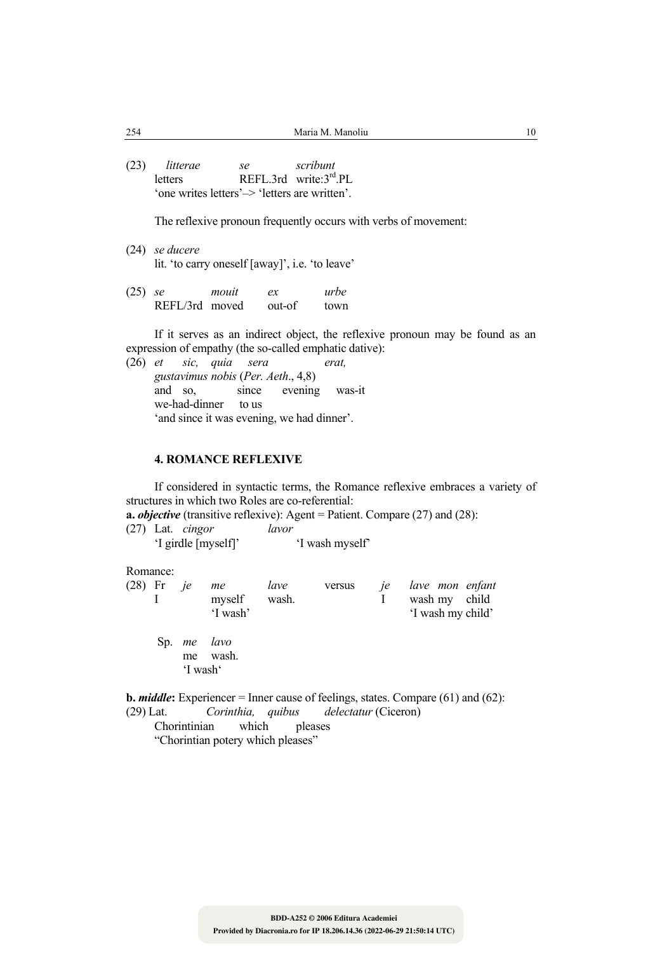(23) *litterae se scribunt* letters REFL.3rd write: $3<sup>rd</sup>$  PL 'one writes letters'–> 'letters are written'.

The reflexive pronoun frequently occurs with verbs of movement:

<sup>(24)</sup> *se ducere* lit. 'to carry oneself [away]', i.e. 'to leave'

| $(25)$ se |                | mouit | ex     | urbe |
|-----------|----------------|-------|--------|------|
|           | REFL/3rd moved |       | out-of | town |

 If it serves as an indirect object, the reflexive pronoun may be found as an expression of empathy (the so-called emphatic dative):

(26) *et sic, quia sera erat, gustavimus nobis* (*Per. Aeth*., 4,8) and so, since evening was-it we-had-dinner to us 'and since it was evening, we had dinner'.

### **4. ROMANCE REFLEXIVE**

 If considered in syntactic terms, the Romance reflexive embraces a variety of structures in which two Roles are co-referential:

**a.** *objective* (transitive reflexive): Agent = Patient. Compare (27) and (28): (27) Lat. *cingor lavor*

'I girdle [myself]' 'I wash myself'

Romance:

| $(28)$ Fr <i>je</i> | me           | lave | versus | je lave mon enfant |  |
|---------------------|--------------|------|--------|--------------------|--|
|                     | myself wash. |      |        | wash my child      |  |
|                     | 'I wash'     |      |        | 'I wash my child'  |  |
|                     |              |      |        |                    |  |

 Sp. *me lavo* me wash. 'I wash'

**b.** *middle*: Experiencer = Inner cause of feelings, states. Compare (61) and (62): (29) Lat. *Corinthia, quibus delectatur* (Ciceron)

Chorintinian which pleases

"Chorintian potery which pleases"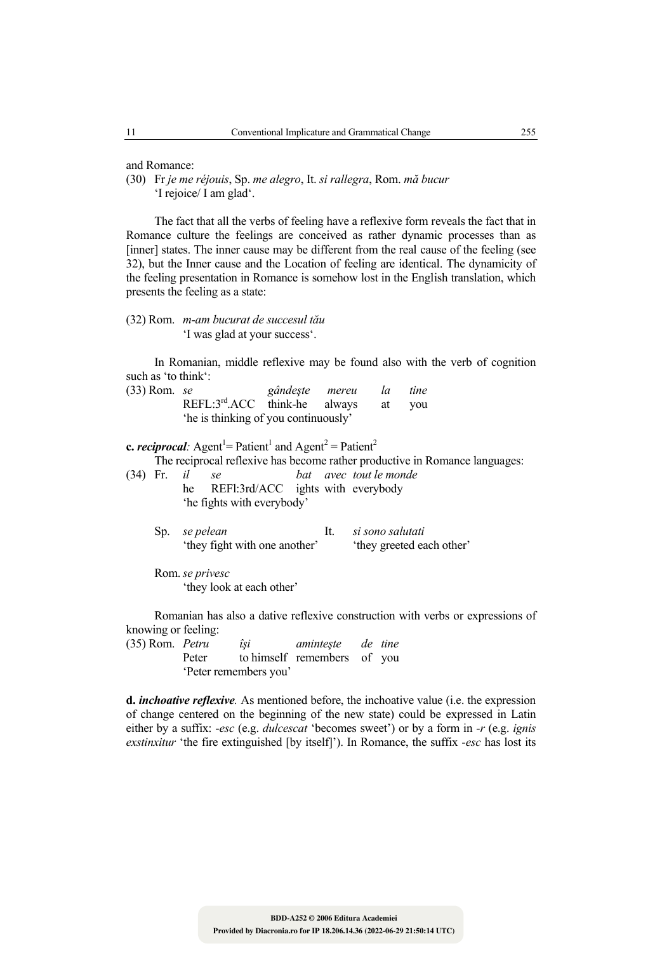and Romance:

(30) Fr *je me réjouis*, Sp. *me alegro*, It. *si rallegra*, Rom. *mă bucur* 'I rejoice/ I am glad'.

 The fact that all the verbs of feeling have a reflexive form reveals the fact that in Romance culture the feelings are conceived as rather dynamic processes than as [inner] states. The inner cause may be different from the real cause of the feeling (see 32), but the Inner cause and the Location of feeling are identical. The dynamicity of the feeling presentation in Romance is somehow lost in the English translation, which presents the feeling as a state:

### (32) Rom. *m-am bucurat de succesul tău* 'I was glad at your success'.

 In Romanian, middle reflexive may be found also with the verb of cognition such as 'to think':

| (33) Rom. se |                                          | gândeşte mereu | la | tine |
|--------------|------------------------------------------|----------------|----|------|
|              | $REFL:3^{rd}.ACC$ think-he always at you |                |    |      |
|              | the is thinking of you continuously'     |                |    |      |

**c.** *reciprocal*: Agent<sup>1</sup> = Patient<sup>1</sup> and Agent<sup>2</sup> = Patient<sup>2</sup>

The reciprocal reflexive has become rather productive in Romance languages:

- (34) Fr. *il se bat avec tout le monde*  he REFI:3rd/ACC ights with everybody 'he fights with everybody'
	- Sp. *se pelean* It. *si sono salutati* 'they fight with one another' they greeted each other'
	- Rom. *se privesc* 'they look at each other'

 Romanian has also a dative reflexive construction with verbs or expressions of knowing or feeling:

(35) Rom. *Petru îşi aminteşte de tine*  Peter to himself remembers of you 'Peter remembers you'

**d.** *inchoative reflexive.* As mentioned before, the inchoative value (i.e. the expression of change centered on the beginning of the new state) could be expressed in Latin either by a suffix: -*esc* (e.g. *dulcescat* 'becomes sweet') or by a form in *-r* (e.g. *ignis exstinxitur* 'the fire extinguished [by itself]'). In Romance, the suffix -*esc* has lost its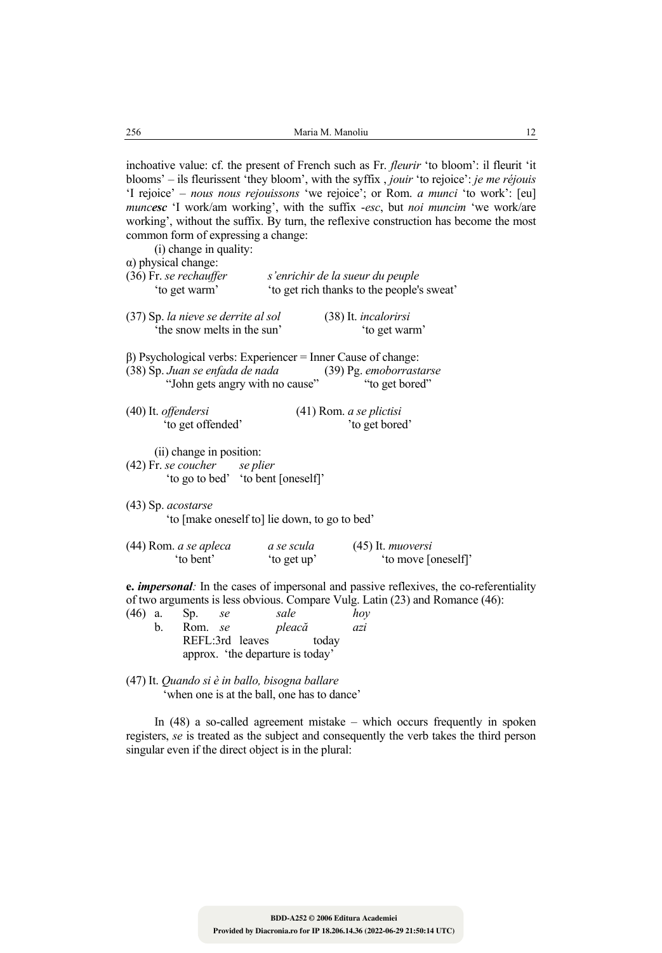inchoative value: cf. the present of French such as Fr. *fleurir* 'to bloom': il fleurit 'it blooms' – ils fleurissent 'they bloom', with the syffix , *jouir* 'to rejoice': *je me réjouis* 'I rejoice' – *nous nous rejouissons* 'we rejoice'; or Rom. *a munci* 'to work': [eu] *muncesc* 'I work/am working', with the suffix -*esc*, but *noi muncim* 'we work/are

working', without the suffix. By turn, the reflexive construction has become the most

common form of expressing a change: (i) change in quality: α) physical change: (36) Fr. *se rechauffer s'enrichir de la sueur du peuple*  'to get rich thanks to the people's sweat' (37) Sp. *la nieve se derrite al sol* (38) It. *incalorirsi* 'the snow melts in the sun' 'to get warm' β) Psychological verbs: Experiencer = Inner Cause of change:<br>(38) Sp. Juan se enfada de nada (39) Pg. emoborrastarse (38) Sp. *Juan se enfada de nada* (39) Pg. *emoborrastar.*<br>"John gets angry with no cause" (to get bored") "John gets angry with no cause" (40) It. *offendersi* (41) Rom. *a se plictisi* 'to get offended' 'to get bored' (ii) change in position: (42) Fr. *se coucher se plier*  'to go to bed' 'to bent [oneself]' (43) Sp. *acostarse* 'to [make oneself to] lie down, to go to bed'

| $(44)$ Rom. <i>a se apleca</i> | a se scula | $(45)$ It. <i>muoversi</i> |
|--------------------------------|------------|----------------------------|
| to bent'                       | to get up' | 'to move [oneself]'        |

**e.** *impersonal:* In the cases of impersonal and passive reflexives, the co-referentiality of two arguments is less obvious. Compare Vulg. Latin (23) and Romance (46):

| $(46)$ a. |    | Sp.     | se |                                  | sale   |       | hov |
|-----------|----|---------|----|----------------------------------|--------|-------|-----|
|           | b. | Rom. se |    |                                  | pleacă |       | azi |
|           |    |         |    | REFL:3rd leaves                  |        | today |     |
|           |    |         |    | approx. 'the departure is today' |        |       |     |

<sup>(47)</sup> It. *Quando si è in ballo, bisogna ballare* 'when one is at the ball, one has to dance'

 In (48) a so-called agreement mistake – which occurs frequently in spoken registers, *se* is treated as the subject and consequently the verb takes the third person singular even if the direct object is in the plural: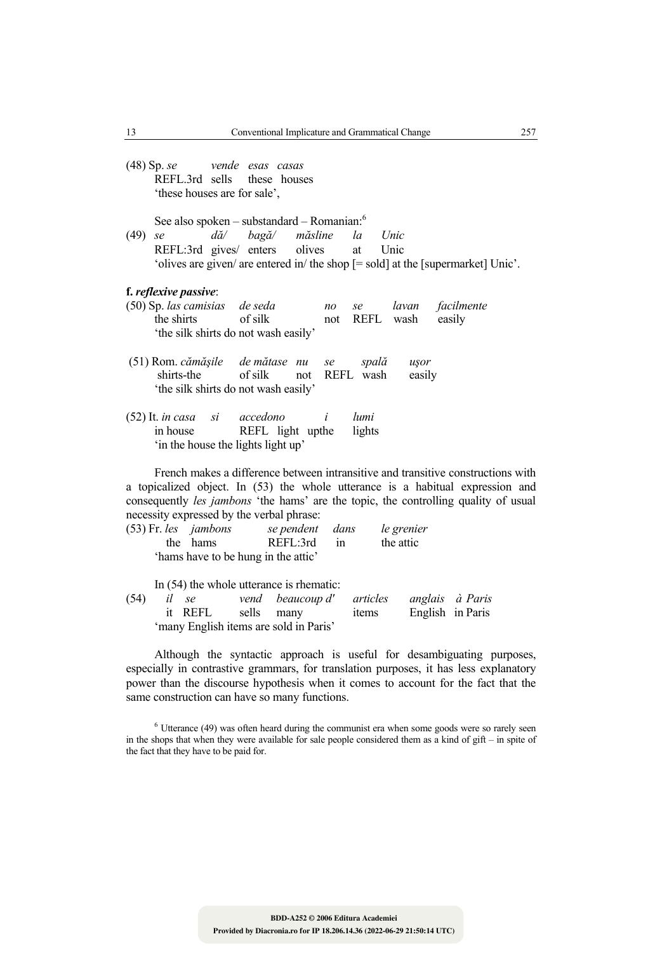(48) Sp. *se vende esas casas* REFL.3rd sells these houses 'these houses are for sale',

See also spoken – substandard – Romanian: $6$ 

(49) *se dă/ bagă/ măsline la Unic* REFL:3rd gives/ enters olives at Unic 'olives are given/ are entered in/ the shop [= sold] at the [supermarket] Unic'.

#### **f.** *reflexive passive*:

- (50) Sp. *las camisias de seda no se lavan facilmente* the shirts of silk not REFL wash easily 'the silk shirts do not wash easily'
- (51) Rom. *cămăşile de mătase nu se spală uşor* shirts-the of silk not REFL wash easily 'the silk shirts do not wash easily'
- (52) It. *in casa si accedono i lumi* in house REFL light upthe lights 'in the house the lights light up'

 French makes a difference between intransitive and transitive constructions with a topicalized object. In (53) the whole utterance is a habitual expression and consequently *les jambons* 'the hams' are the topic, the controlling quality of usual necessity expressed by the verbal phrase:

| $(53)$ Fr. les <i>jambons</i> |          | se pendent dans                     |    | le grenier |
|-------------------------------|----------|-------------------------------------|----|------------|
|                               | the hams | REFL:3rd                            | 1n | the attic  |
|                               |          | 'hams have to be hung in the attic' |    |            |

 In (54) the whole utterance is rhematic: (54) *il se vend beaucoup d' articles anglais à Paris* it REFL sells many items English in Paris 'many English items are sold in Paris'

 Although the syntactic approach is useful for desambiguating purposes, especially in contrastive grammars, for translation purposes, it has less explanatory power than the discourse hypothesis when it comes to account for the fact that the same construction can have so many functions.

 $6$  Utterance (49) was often heard during the communist era when some goods were so rarely seen in the shops that when they were available for sale people considered them as a kind of gift – in spite of the fact that they have to be paid for.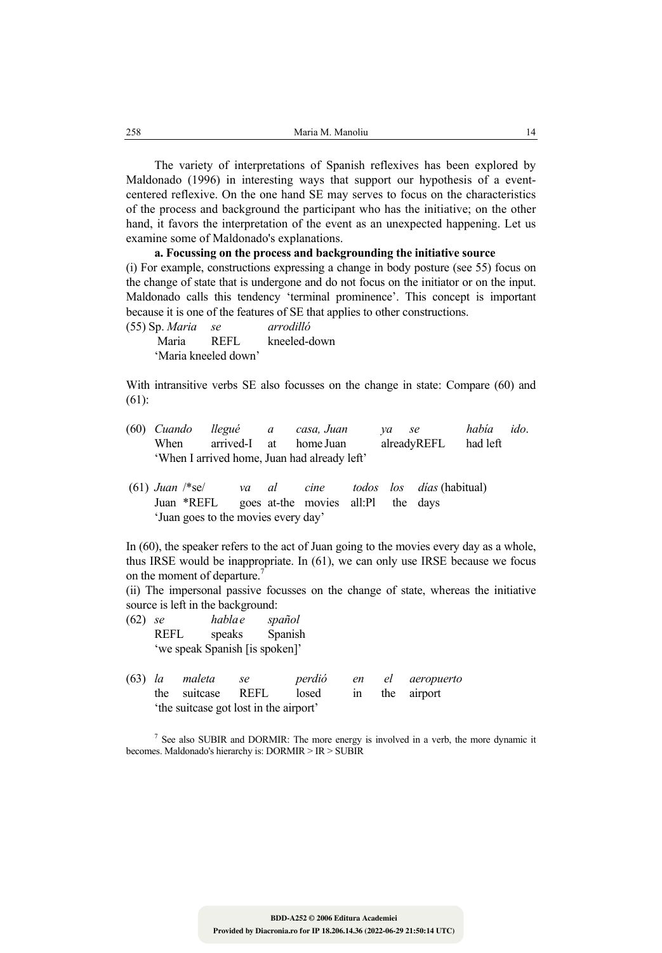The variety of interpretations of Spanish reflexives has been explored by Maldonado (1996) in interesting ways that support our hypothesis of a eventcentered reflexive. On the one hand SE may serves to focus on the characteristics of the process and background the participant who has the initiative; on the other hand, it favors the interpretation of the event as an unexpected happening. Let us examine some of Maldonado's explanations.

### **a. Focussing on the process and backgrounding the initiative source**

(i) For example, constructions expressing a change in body posture (see 55) focus on the change of state that is undergone and do not focus on the initiator or on the input. Maldonado calls this tendency 'terminal prominence'. This concept is important because it is one of the features of SE that applies to other constructions.

(55) Sp. *Maria se arrodilló* Maria REFL kneeled-down 'Maria kneeled down'

With intransitive verbs SE also focusses on the change in state: Compare (60) and (61):

- (60) *Cuando llegué a casa, Juan ya se había ido*. When arrived-I at home Juan alreadyREFL had left 'When I arrived home, Juan had already left'
- (61) *Juan* /\*se/ *va al cine todos los días* (habitual) Juan \*REFL goes at-the movies all:Pl the days 'Juan goes to the movies every day'

In (60), the speaker refers to the act of Juan going to the movies every day as a whole, thus IRSE would be inappropriate. In (61), we can only use IRSE because we focus on the moment of departure.<sup>7</sup>

(ii) The impersonal passive focusses on the change of state, whereas the initiative source is left in the background:

- (62) *se habla e spañol*  REFL speaks Spanish 'we speak Spanish [is spoken]'
- (63) *la maleta se perdió en el aeropuerto*  the suitcase REFL losed in the airport 'the suitcase got lost in the airport'

<sup>7</sup> See also SUBIR and DORMIR: The more energy is involved in a verb, the more dynamic it becomes. Maldonado's hierarchy is: DORMIR > IR > SUBIR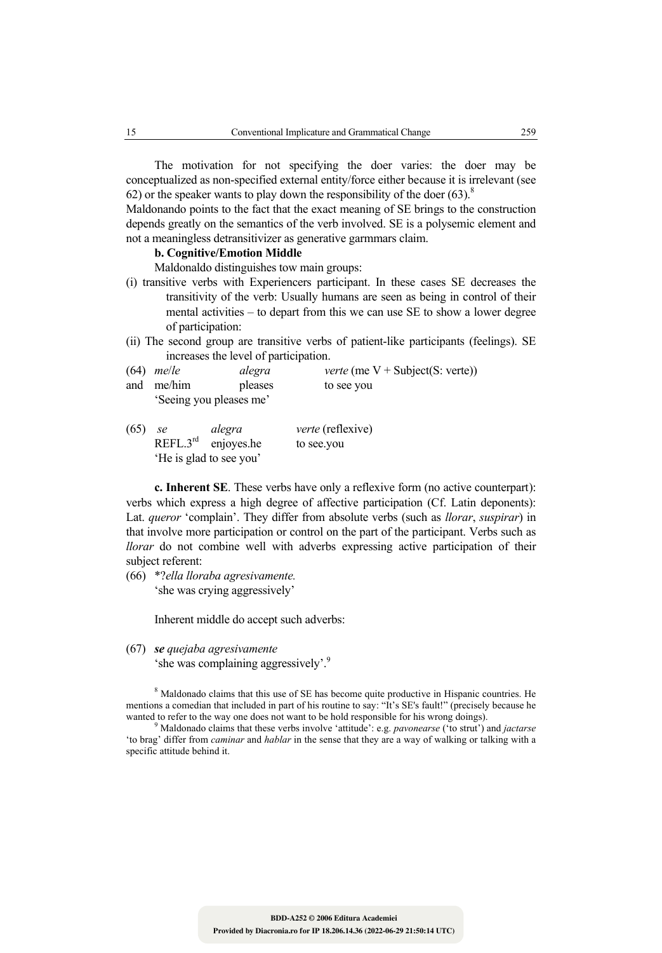The motivation for not specifying the doer varies: the doer may be conceptualized as non-specified external entity/force either because it is irrelevant (see 62) or the speaker wants to play down the responsibility of the doer  $(63)^8$ .

Maldonando points to the fact that the exact meaning of SE brings to the construction depends greatly on the semantics of the verb involved. SE is a polysemic element and not a meaningless detransitivizer as generative garmmars claim.

### **b. Cognitive/Emotion Middle**

Maldonaldo distinguishes tow main groups:

- (i) transitive verbs with Experiencers participant. In these cases SE decreases the transitivity of the verb: Usually humans are seen as being in control of their mental activities – to depart from this we can use SE to show a lower degree of participation:
- (ii) The second group are transitive verbs of patient-like participants (feelings). SE increases the level of participation.
- (64) *me*/*le alegra verte* (me V + Subject(S: verte)) and me/him pleases to see you 'Seeing you pleases me'
- (65) *se alegra verte* (reflexive)  $REFL.3<sup>rd</sup>$  enjoyes.he to see.you

'He is glad to see you'

 **c. Inherent SE**. These verbs have only a reflexive form (no active counterpart): verbs which express a high degree of affective participation (Cf. Latin deponents): Lat. *queror* 'complain'. They differ from absolute verbs (such as *llorar*, *suspirar*) in that involve more participation or control on the part of the participant. Verbs such as *llorar* do not combine well with adverbs expressing active participation of their subject referent:

(66) \*?*ella lloraba agresivamente.* 'she was crying aggressively'

Inherent middle do accept such adverbs:

(67) *se quejaba agresivamente* 'she was complaining aggressively'.9

<sup>8</sup> Maldonado claims that this use of SE has become quite productive in Hispanic countries. He mentions a comedian that included in part of his routine to say: "It's SE's fault!" (precisely because he wanted to refer to the way one does not want to be hold responsible for his wrong doings).

 Maldonado claims that these verbs involve 'attitude': e.g. *pavonearse* ('to strut') and *jactarse* 'to brag' differ from *caminar* and *hablar* in the sense that they are a way of walking or talking with a specific attitude behind it.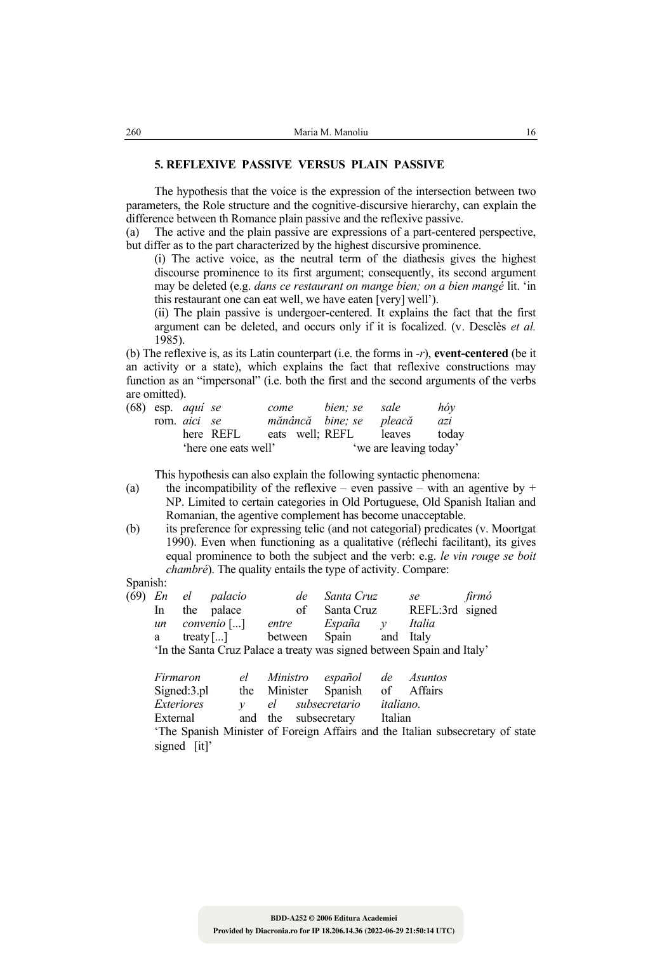#### **5. REFLEXIVE PASSIVE VERSUS PLAIN PASSIVE**

 The hypothesis that the voice is the expression of the intersection between two parameters, the Role structure and the cognitive-discursive hierarchy, can explain the difference between th Romance plain passive and the reflexive passive.

(a) The active and the plain passive are expressions of a part-centered perspective, but differ as to the part characterized by the highest discursive prominence.

 (i) The active voice, as the neutral term of the diathesis gives the highest discourse prominence to its first argument; consequently, its second argument may be deleted (e.g. *dans ce restaurant on mange bien; on a bien mangé* lit. 'in this restaurant one can eat well, we have eaten [very] well').

 (ii) The plain passive is undergoer-centered. It explains the fact that the first argument can be deleted, and occurs only if it is focalized. (v. Desclès *et al.* 1985).

(b) The reflexive is, as its Latin counterpart (i.e. the forms in -*r*), **event-centered** (be it an activity or a state), which explains the fact that reflexive constructions may function as an "impersonal" (i.e. both the first and the second arguments of the verbs are omitted).

|  | $(68)$ esp. <i>aqui se</i> |                      | come | bien; se sale           |                        | $h\phi y$ |
|--|----------------------------|----------------------|------|-------------------------|------------------------|-----------|
|  | rom <i>aici</i> se         |                      |      | mănâncă bine; se pleacă |                        | azi       |
|  |                            | here REFL            |      | eats well: REFL         | leaves                 | todav     |
|  |                            | 'here one eats well' |      |                         | 'we are leaving today' |           |

This hypothesis can also explain the following syntactic phenomena:

- (a) the incompatibility of the reflexive even passive with an agentive by  $+$ NP. Limited to certain categories in Old Portuguese, Old Spanish Italian and Romanian, the agentive complement has become unacceptable.
- (b) its preference for expressing telic (and not categorial) predicates (v. Moortgat 1990). Even when functioning as a qualitative (réflechi facilitant), its gives equal prominence to both the subject and the verb: e.g. *le vin rouge se boit chambré*). The quality entails the type of activity. Compare:

#### Spanish:

|    |  | de                                              |       |    | se                                   | firmó                                                                                                                         |
|----|--|-------------------------------------------------|-------|----|--------------------------------------|-------------------------------------------------------------------------------------------------------------------------------|
| In |  |                                                 |       |    |                                      |                                                                                                                               |
| un |  |                                                 |       |    | Italia                               |                                                                                                                               |
| a  |  |                                                 |       |    |                                      |                                                                                                                               |
|    |  |                                                 |       |    |                                      |                                                                                                                               |
|    |  | (69) En el palacio<br>the palace<br>convenio [] | entre | of | Santa Cruz<br>Santa Cruz<br>España y | REFL:3rd signed<br>treaty[] between Spain and Italy<br>'In the Santa Cruz Palace a treaty was signed between Spain and Italy' |

| Firmaron                                                                       | el |  |                              |  | Ministro español de Asuntos     |  |
|--------------------------------------------------------------------------------|----|--|------------------------------|--|---------------------------------|--|
| Signed:3.pl                                                                    |    |  |                              |  | the Minister Spanish of Affairs |  |
| <i>Exteriores</i>                                                              |    |  | el subsecretario italiano.   |  |                                 |  |
| External                                                                       |    |  | and the subsecretary Italian |  |                                 |  |
| 'The Spanish Minister of Foreign Affairs and the Italian subsecretary of state |    |  |                              |  |                                 |  |
| signed [it]'                                                                   |    |  |                              |  |                                 |  |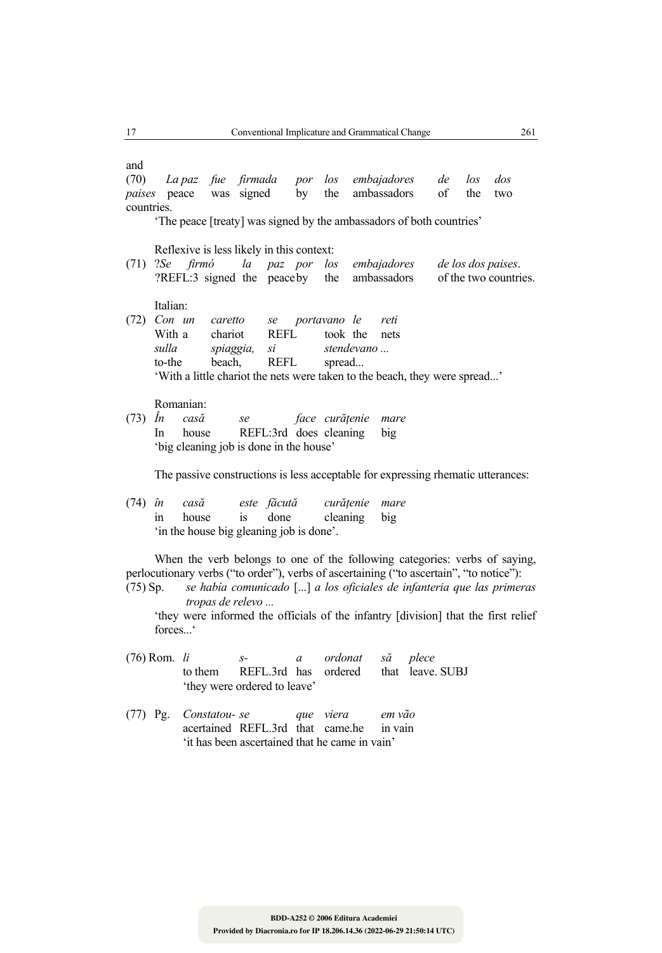and (70) *La paz fue firmada por los embajadores de los dos paises* peace was signed by the ambassadors of the two countries. 'The peace [treaty] was signed by the ambassadors of both countries' Reflexive is less likely in this context: (71) ?*Se firmó la paz por los embajadores de los dos paises*. ?REFL:3 signed the peace by the ambassadors of the two countries. Italian: (72) *Con un caretto se portavano le reti*  With a chariot REFL took the nets  *sulla spiaggia, si stendevano ...* to-the beach, REFL spread... 'With a little chariot the nets were taken to the beach, they were spread...' Romanian:<br>(73)  $\hat{I}n$  casă (73) *În casă se face curăţenie mare* In house REFL:3rd does cleaning big 'big cleaning job is done in the house' The passive constructions is less acceptable for expressing rhematic utterances: (74) *în casă este făcută curăţenie mare* in house is done cleaning big 'in the house big gleaning job is done'. When the verb belongs to one of the following categories: verbs of saying, perlocutionary verbs ("to order"), verbs of ascertaining ("to ascertain", "to notice"): (75) Sp. *se había comunicado* [...] *a los oficiales de infanteria que las primeras tropas de relevo ...* 'they were informed the officials of the infantry [division] that the first relief forces.  $\cdot$ 

- (76) Rom. *li s- a ordonat să plece* to them REFL.3rd has ordered that leave. SUBJ 'they were ordered to leave'
- (77) Pg. *Constatou- se que viera em vão* acertained REFL. 3rd that came he in vain 'it has been ascertained that he came in vain'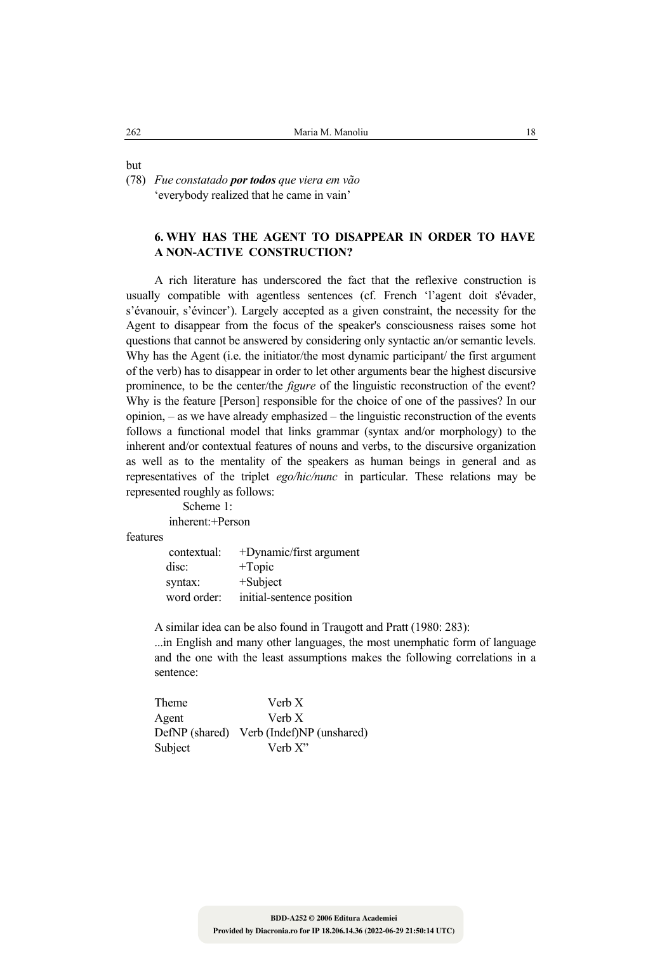but

(78) *Fue constatado por todos que viera em vão* 'everybody realized that he came in vain'

# **6. WHY HAS THE AGENT TO DISAPPEAR IN ORDER TO HAVE A NON-ACTIVE CONSTRUCTION?**

 A rich literature has underscored the fact that the reflexive construction is usually compatible with agentless sentences (cf. French 'l'agent doit s'évader, s'évanouir, s'évincer'). Largely accepted as a given constraint, the necessity for the Agent to disappear from the focus of the speaker's consciousness raises some hot questions that cannot be answered by considering only syntactic an/or semantic levels. Why has the Agent (i.e. the initiator/the most dynamic participant/ the first argument of the verb) has to disappear in order to let other arguments bear the highest discursive prominence, to be the center/the *figure* of the linguistic reconstruction of the event? Why is the feature [Person] responsible for the choice of one of the passives? In our opinion, – as we have already emphasized – the linguistic reconstruction of the events follows a functional model that links grammar (syntax and/or morphology) to the inherent and/or contextual features of nouns and verbs, to the discursive organization as well as to the mentality of the speakers as human beings in general and as representatives of the triplet *ego/hic/nunc* in particular. These relations may be represented roughly as follows:

> Scheme 1: inherent: +Person

features

| contextual: | $+$ Dynamic/first argument |
|-------------|----------------------------|
| disc:       | $+{\rm Topic}$             |
| syntax:     | $+$ Subject                |
| word order: | initial-sentence position  |

A similar idea can be also found in Traugott and Pratt (1980: 283):

 ...in English and many other languages, the most unemphatic form of language and the one with the least assumptions makes the following correlations in a sentence:

| Theme   | Verb X                                   |
|---------|------------------------------------------|
| Agent   | Verb X                                   |
|         | DefNP (shared) Verb (Indef)NP (unshared) |
| Subject | Verb $X$ "                               |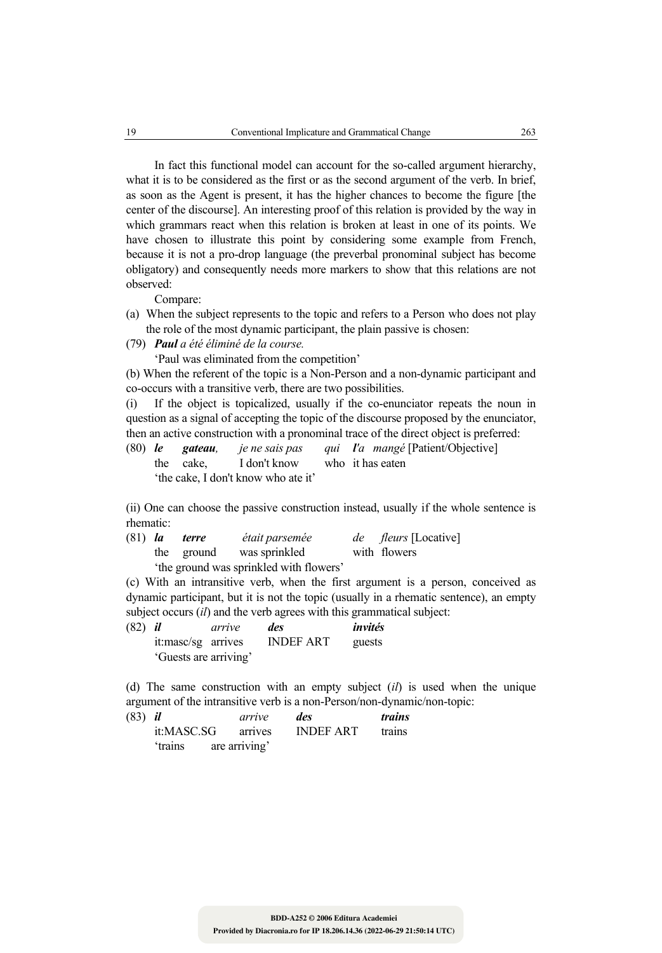In fact this functional model can account for the so-called argument hierarchy, what it is to be considered as the first or as the second argument of the verb. In brief, as soon as the Agent is present, it has the higher chances to become the figure [the center of the discourse]. An interesting proof of this relation is provided by the way in which grammars react when this relation is broken at least in one of its points. We have chosen to illustrate this point by considering some example from French, because it is not a pro-drop language (the preverbal pronominal subject has become obligatory) and consequently needs more markers to show that this relations are not observed:

Compare:

- (a) When the subject represents to the topic and refers to a Person who does not play the role of the most dynamic participant, the plain passive is chosen:
- (79) *Paul a été éliminé de la course.*

'Paul was eliminated from the competition'

(b) When the referent of the topic is a Non-Person and a non-dynamic participant and co-occurs with a transitive verb, there are two possibilities.

(i) If the object is topicalized, usually if the co-enunciator repeats the noun in question as a signal of accepting the topic of the discourse proposed by the enunciator, then an active construction with a pronominal trace of the direct object is preferred:

(80) *le gateau, je ne sais pas qui l'a mangé* [Patient/Objective] the cake, I don't know who it has eaten 'the cake, I don't know who ate it'

(ii) One can choose the passive construction instead, usually if the whole sentence is rhematic:

| $(81)$ <i>la</i> | terre | était parsemée                          | <i>de fleurs</i> [Locative] |
|------------------|-------|-----------------------------------------|-----------------------------|
|                  |       | the ground was sprinkled                | with flowers                |
|                  |       | 'the ground was sprinkled with flowers' |                             |

(c) With an intransitive verb, when the first argument is a person, conceived as dynamic participant, but it is not the topic (usually in a rhematic sentence), an empty subject occurs (*il*) and the verb agrees with this grammatical subject:

| $(82)$ <i>il</i> |                       | arrive | des              | invités |
|------------------|-----------------------|--------|------------------|---------|
|                  | it:masc/sg arrives    |        | <b>INDEF ART</b> | guests  |
|                  | 'Guests are arriving' |        |                  |         |

(d) The same construction with an empty subject (*il*) is used when the unique argument of the intransitive verb is a non-Person/non-dynamic/non-topic:

| $(83)$ <i>il</i> |                       |  | arrive  | des              | <i>trains</i> |
|------------------|-----------------------|--|---------|------------------|---------------|
|                  | it:MASC.SG            |  | arrives | <b>INDEF ART</b> | trains        |
|                  | 'trains are arriving' |  |         |                  |               |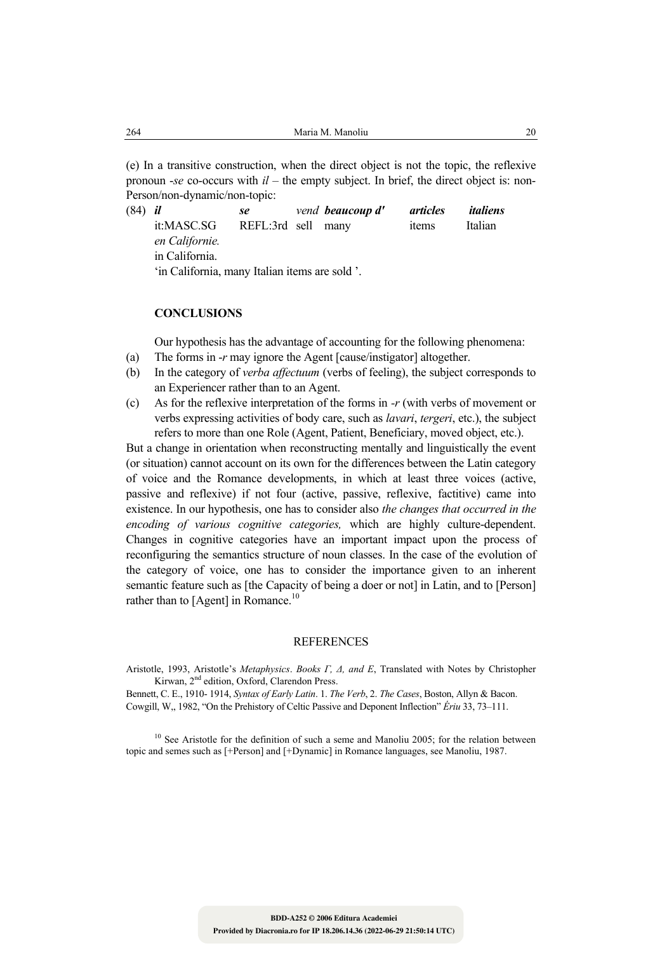(e) In a transitive construction, when the direct object is not the topic, the reflexive pronoun -*se* co-occurs with *il* – the empty subject. In brief, the direct object is: non-Person/non-dynamic/non-topic:

(84) *il se vend beaucoup d' articles italiens*  it:MASC.SG REFL:3rd sell many items Italian *en Californie.* in California. 'in California, many Italian items are sold '.

#### **CONCLUSIONS**

Our hypothesis has the advantage of accounting for the following phenomena:

- (a) The forms in -*r* may ignore the Agent [cause/instigator] altogether.
- (b) In the category of *verba affectuum* (verbs of feeling), the subject corresponds to an Experiencer rather than to an Agent.
- (c) As for the reflexive interpretation of the forms in *-r* (with verbs of movement or verbs expressing activities of body care, such as *lavari*, *tergeri*, etc.), the subject refers to more than one Role (Agent, Patient, Beneficiary, moved object, etc.).

But a change in orientation when reconstructing mentally and linguistically the event (or situation) cannot account on its own for the differences between the Latin category of voice and the Romance developments, in which at least three voices (active, passive and reflexive) if not four (active, passive, reflexive, factitive) came into existence. In our hypothesis, one has to consider also *the changes that occurred in the encoding of various cognitive categories,* which are highly culture-dependent. Changes in cognitive categories have an important impact upon the process of reconfiguring the semantics structure of noun classes. In the case of the evolution of the category of voice, one has to consider the importance given to an inherent semantic feature such as [the Capacity of being a doer or not] in Latin, and to [Person] rather than to [Agent] in Romance.<sup>10</sup>

#### REFERENCES

Aristotle, 1993, Aristotle's *Metaphysics*. *Books Γ, ∆, and Ε*, Translated with Notes by Christopher Kirwan, 2<sup>nd</sup> edition, Oxford, Clarendon Press.

Bennett, C. E., 1910- 1914, *Syntax of Early Latin*. 1. *The Verb*, 2. *The Cases*, Boston, Allyn & Bacon. Cowgill, W,, 1982, "On the Prehistory of Celtic Passive and Deponent Inflection" *Ériu* 33, 73–111.

 $10$  See Aristotle for the definition of such a seme and Manoliu 2005; for the relation between topic and semes such as [+Person] and [+Dynamic] in Romance languages, see Manoliu, 1987.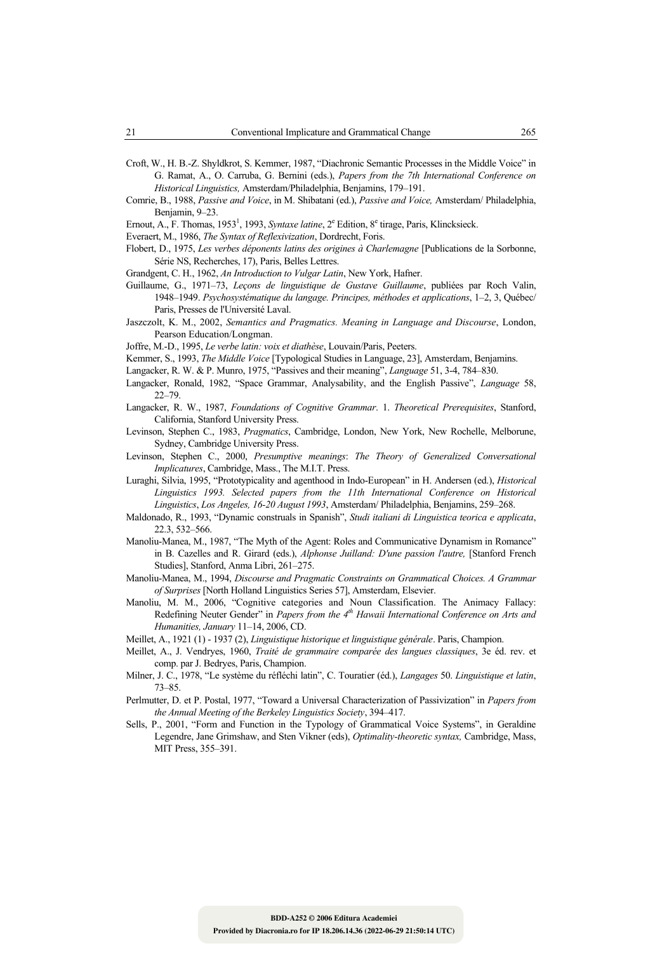- Croft, W., H. B.-Z. Shyldkrot, S. Kemmer, 1987, "Diachronic Semantic Processes in the Middle Voice" in G. Ramat, A., O. Carruba, G. Bernini (eds.), *Papers from the 7th International Conference on Historical Linguistics,* Amsterdam/Philadelphia, Benjamins, 179–191.
- Comrie, B., 1988, *Passive and Voice*, in M. Shibatani (ed.), *Passive and Voice,* Amsterdam/ Philadelphia, Benjamin, 9–23.

Ernout, A., F. Thomas, 1953<sup>1</sup>, 1993, *Syntaxe latine*, 2<sup>e</sup> Edition, 8<sup>e</sup> tirage, Paris, Klincksieck.

- Everaert, M., 1986, *The Syntax of Reflexivization*, Dordrecht, Foris.
- Flobert, D., 1975, *Les verbes déponents latins des origines à Charlemagne* [Publications de la Sorbonne, Série NS, Recherches, 17), Paris, Belles Lettres.
- Grandgent, C. H., 1962, *An Introduction to Vulgar Latin*, New York, Hafner.
- Guillaume, G., 1971–73, *Leçons de linguistique de Gustave Guillaume*, publiées par Roch Valin, 1948–1949. *Psychosystématique du langage. Principes, méthodes et applications*, 1–2, 3, Québec/ Paris, Presses de l'Université Laval.
- Jaszczolt, K. M., 2002, *Semantics and Pragmatics. Meaning in Language and Discourse*, London, Pearson Education/Longman.
- Joffre, M.-D., 1995, *Le verbe latin: voix et diathèse*, Louvain/Paris, Peeters.
- Kemmer, S., 1993, *The Middle Voice* [Typological Studies in Language, 23], Amsterdam, Benjamins.
- Langacker, R. W. & P. Munro, 1975, "Passives and their meaning", *Language* 51, 3-4, 784–830.
- Langacker, Ronald, 1982, "Space Grammar, Analysability, and the English Passive", *Language* 58, 22–79.
- Langacker, R. W., 1987, *Foundations of Cognitive Grammar*. 1. *Theoretical Prerequisites*, Stanford, California, Stanford University Press.
- Levinson, Stephen C., 1983, *Pragmatics*, Cambridge, London, New York, New Rochelle, Melborune, Sydney, Cambridge University Press.
- Levinson, Stephen C., 2000, *Presumptive meanings*: *The Theory of Generalized Conversational Implicatures*, Cambridge, Mass., The M.I.T. Press.
- Luraghi, Silvia, 1995, "Prototypicality and agenthood in Indo-European" in H. Andersen (ed.), *Historical Linguistics 1993. Selected papers from the 11th International Conference on Historical Linguistics*, *Los Angeles, 16-20 August 1993*, Amsterdam/ Philadelphia, Benjamins, 259–268.
- Maldonado, R., 1993, "Dynamic construals in Spanish", *Studi italiani di Linguistica teorica e applicata*, 22.3, 532–566.
- Manoliu-Manea, M., 1987, "The Myth of the Agent: Roles and Communicative Dynamism in Romance" in B. Cazelles and R. Girard (eds.), *Alphonse Juilland: D'une passion l'autre,* [Stanford French Studies], Stanford, Anma Libri, 261–275.
- Manoliu-Manea, M., 1994, *Discourse and Pragmatic Constraints on Grammatical Choices. A Grammar of Surprises* [North Holland Linguistics Series 57], Amsterdam, Elsevier.
- Manoliu, M. M., 2006, "Cognitive categories and Noun Classification. The Animacy Fallacy: Redefining Neuter Gender" in *Papers from the 4<sup>th</sup> Hawaii International Conference on Arts and Humanities, January* 11–14, 2006, CD.
- Meillet, A., 1921 (1) 1937 (2), *Linguistique historique et linguistique générale*. Paris, Champion.
- Meillet, A., J. Vendryes, 1960, *Traité de grammaire comparée des langues classiques*, 3e éd. rev. et comp. par J. Bedryes, Paris, Champion.
- Milner, J. C., 1978, "Le système du réfléchi latin", C. Touratier (éd.), *Langages* 50. *Linguistique et latin*, 73–85.
- Perlmutter, D. et P. Postal, 1977, "Toward a Universal Characterization of Passivization" in *Papers from the Annual Meeting of the Berkeley Linguistics Society*, 394–417.
- Sells, P., 2001, "Form and Function in the Typology of Grammatical Voice Systems", in Geraldine Legendre, Jane Grimshaw, and Sten Vikner (eds), *Optimality-theoretic syntax,* Cambridge, Mass, MIT Press, 355–391.